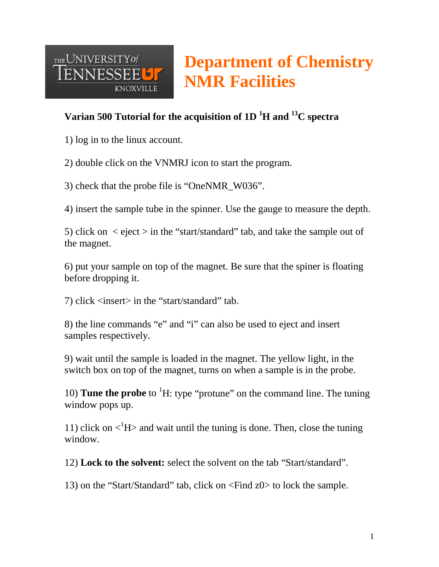

# **Department of Chemistry NMR Facilities**

## **Varian 500 Tutorial for the acquisition of 1D 1 H and 13C spectra**

1) log in to the linux account.

2) double click on the VNMRJ icon to start the program.

3) check that the probe file is "OneNMR\_W036".

4) insert the sample tube in the spinner. Use the gauge to measure the depth.

5) click on  $\le$  eject  $>$  in the "start/standard" tab, and take the sample out of the magnet.

6) put your sample on top of the magnet. Be sure that the spiner is floating before dropping it.

7) click <insert> in the "start/standard" tab.

8) the line commands "e" and "i" can also be used to eject and insert samples respectively.

9) wait until the sample is loaded in the magnet. The yellow light, in the switch box on top of the magnet, turns on when a sample is in the probe.

10) **Tune the probe** to <sup>1</sup>H: type "protune" on the command line. The tuning window pops up.

11) click on  $\langle H \rangle$  and wait until the tuning is done. Then, close the tuning window.

12) **Lock to the solvent:** select the solvent on the tab "Start/standard".

13) on the "Start/Standard" tab, click on <Find z0> to lock the sample.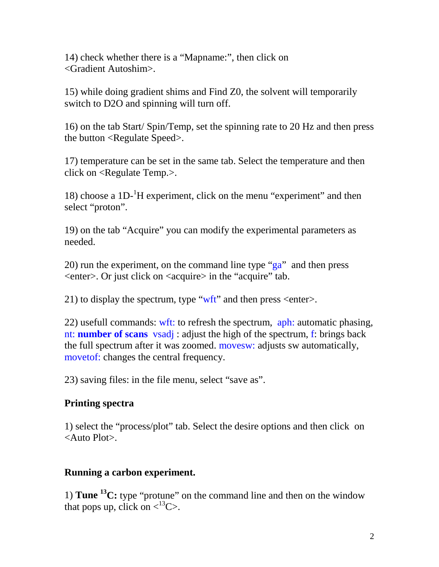14) check whether there is a "Mapname:", then click on <Gradient Autoshim>.

15) while doing gradient shims and Find Z0, the solvent will temporarily switch to D2O and spinning will turn off.

16) on the tab Start/ Spin/Temp, set the spinning rate to 20 Hz and then press the button <Regulate Speed>.

17) temperature can be set in the same tab. Select the temperature and then click on <Regulate Temp.>.

18) choose a 1D-1 H experiment, click on the menu "experiment" and then select "proton".

19) on the tab "Acquire" you can modify the experimental parameters as needed.

20) run the experiment, on the command line type "ga" and then press <enter>. Or just click on <acquire> in the "acquire" tab.

21) to display the spectrum, type " $wft$ " and then press <enter>.

22) usefull commands: wft: to refresh the spectrum, aph: automatic phasing, nt: **number of scans** vsadj : adjust the high of the spectrum, f: brings back the full spectrum after it was zoomed. movesw: adjusts sw automatically, movetof: changes the central frequency.

23) saving files: in the file menu, select "save as".

### **Printing spectra**

1) select the "process/plot" tab. Select the desire options and then click on <Auto Plot>.

### **Running a carbon experiment.**

1) **Tune 13C:** type "protune" on the command line and then on the window that pops up, click on  $\langle^{13}C \rangle$ .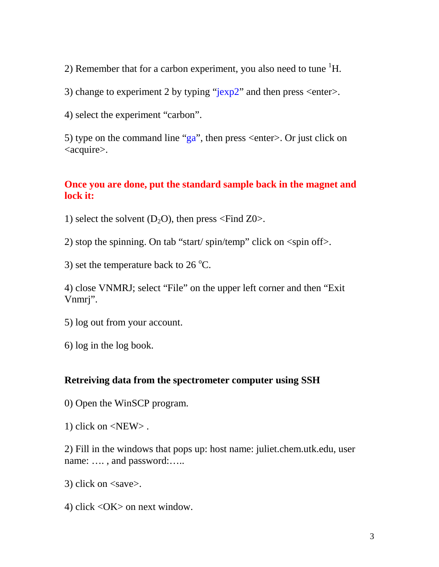2) Remember that for a carbon experiment, you also need to tune  ${}^{1}H$ .

3) change to experiment 2 by typing " $\frac{\text{exp2}}{\text{exp2}}$ " and then press <enter>.

4) select the experiment "carbon".

5) type on the command line "ga", then press  $\leq$  enter $>$ . Or just click on <acquire>.

#### **Once you are done, put the standard sample back in the magnet and lock it:**

1) select the solvent  $(D_2O)$ , then press <Find Z0>.

2) stop the spinning. On tab "start/ spin/temp" click on <spin off>.

3) set the temperature back to  $26^{\circ}$ C.

4) close VNMRJ; select "File" on the upper left corner and then "Exit Vnmrj".

5) log out from your account.

6) log in the log book.

#### **Retreiving data from the spectrometer computer using SSH**

0) Open the WinSCP program.

1) click on <NEW> .

2) Fill in the windows that pops up: host name: juliet.chem.utk.edu, user name: …. , and password:…..

3) click on <save>.

4) click <OK> on next window.